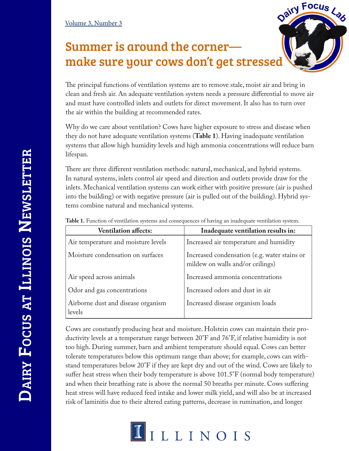## Summer is around the corner make sure your cows don't get stressed

The principal functions of ventilation systems are to remove stale, moist air and bring in clean and fresh air. An adequate ventilation system needs a pressure differential to move air and must have controlled inlets and outlets for direct movement. It also has to turn over the air within the building at recommended rates.

Dairy Focus Lab

Why do we care about ventilation? Cows have higher exposure to stress and disease when they do not have adequate ventilation systems (**Table 1**). Having inadequate ventilation systems that allow high humidity levels and high ammonia concentrations will reduce barn lifespan.

There are three different ventilation methods: natural, mechanical, and hybrid systems. In natural systems, inlets control air speed and direction and outlets provide draw for the inlets. Mechanical ventilation systems can work either with positive pressure (air is pushed into the building) or with negative pressure (air is pulled out of the building). Hybrid systems combine natural and mechanical systems.

| <b>Ventilation affects:</b>                  | Inadequate ventilation results in:                                               |
|----------------------------------------------|----------------------------------------------------------------------------------|
| Air temperature and moisture levels          | Increased air temperature and humidity                                           |
| Moisture condensation on surfaces            | Increased condensation (e.g. water stains or<br>mildew on walls and/or ceilings) |
| Air speed across animals                     | Increased ammonia concentrations                                                 |
| Odor and gas concentrations                  | Increased odors and dust in air                                                  |
| Airborne dust and disease organism<br>levels | Increased disease organism loads                                                 |

**Table 1.** Function of ventilation systems and consequences of having an inadequate ventilation system.

Cows are constantly producing heat and moisture. Holstein cows can maintain their productivity levels at a temperature range between 20°F and 76°F, if relative humidity is not too high. During summer, barn and ambient temperature should equal. Cows can better tolerate temperatures below this optimum range than above; for example, cows can withstand temperatures below 20°F if they are kept dry and out of the wind. Cows are likely to suffer heat stress when their body temperature is above 101.5°F (normal body temperature) and when their breathing rate is above the normal 50 breaths per minute. Cows suffering heat stress will have reduced feed intake and lower milk yield, and will also be at increased risk of laminitis due to their altered eating patterns, decrease in rumination, and longer

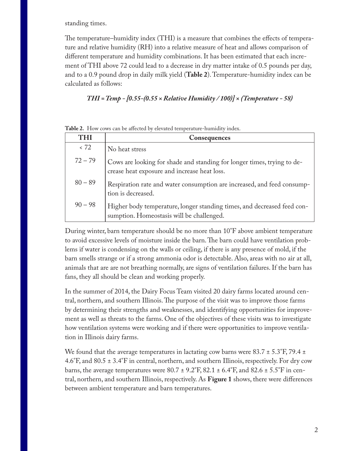standing times.

The temperature–humidity index (THI) is a measure that combines the effects of temperature and relative humidity (RH) into a relative measure of heat and allows comparison of different temperature and humidity combinations. It has been estimated that each increment of THI above 72 could lead to a decrease in dry matter intake of 0.5 pounds per day, and to a 0.9 pound drop in daily milk yield (**Table 2**). Temperature-humidity index can be calculated as follows:

## *THI = Temp - [0.55-(0.55 × Relative Humidity / 100)] × (Temperature - 58)*

| THI       | <b>Consequences</b>                                                                                                     |
|-----------|-------------------------------------------------------------------------------------------------------------------------|
| < 72      | No heat stress                                                                                                          |
| $72 - 79$ | Cows are looking for shade and standing for longer times, trying to de-<br>crease heat exposure and increase heat loss. |
| $80 - 89$ | Respiration rate and water consumption are increased, and feed consump-<br>tion is decreased.                           |
| $90 - 98$ | Higher body temperature, longer standing times, and decreased feed con-<br>sumption. Homeostasis will be challenged.    |

**Table 2.** How cows can be affected by elevated temperature-humidity index.

During winter, barn temperature should be no more than 10°F above ambient temperature to avoid excessive levels of moisture inside the barn. The barn could have ventilation problems if water is condensing on the walls or ceiling, if there is any presence of mold, if the barn smells strange or if a strong ammonia odor is detectable. Also, areas with no air at all, animals that are are not breathing normally, are signs of ventilation failures. If the barn has fans, they all should be clean and working properly.

In the summer of 2014, the Dairy Focus Team visited 20 dairy farms located around central, northern, and southern Illinois. The purpose of the visit was to improve those farms by determining their strengths and weaknesses, and identifying opportunities for improvement as well as threats to the farms. One of the objectives of these visits was to investigate how ventilation systems were working and if there were opportunities to improve ventilation in Illinois dairy farms.

We found that the average temperatures in lactating cow barns were  $83.7 \pm 5.3^{\circ}$ F, 79.4  $\pm$ 4.6°F, and 80.5 ± 3.4°F in central, northern, and southern Illinois, respectively. For dry cow barns, the average temperatures were  $80.7 \pm 9.2^{\circ}$ F,  $82.1 \pm 6.4^{\circ}$ F, and  $82.6 \pm 5.5^{\circ}$ F in central, northern, and southern Illinois, respectively. As **Figure 1** shows, there were differences between ambient temperature and barn temperatures.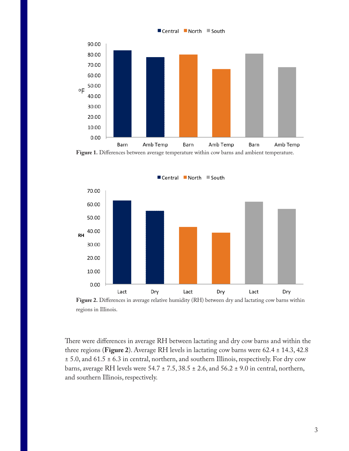

■ Central ■ North ■ South

**Figure 1.** Differences between average temperature within cow barns and ambient temperature.





There were differences in average RH between lactating and dry cow barns and within the three regions (**Figure 2**). Average RH levels in lactating cow barns were 62.4 ± 14.3, 42.8  $\pm$  5.0, and 61.5  $\pm$  6.3 in central, northern, and southern Illinois, respectively. For dry cow barns, average RH levels were  $54.7 \pm 7.5$ ,  $38.5 \pm 2.6$ , and  $56.2 \pm 9.0$  in central, northern, and southern Illinois, respectively.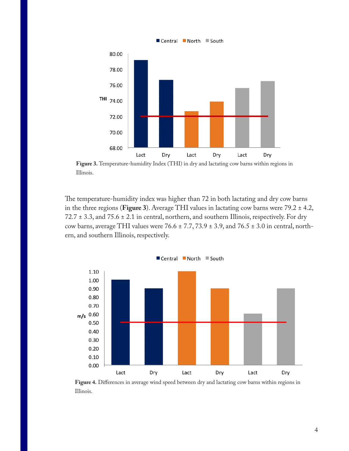

**Figure 3.** Temperature-humidity Index (THI) in dry and lactating cow barns within regions in Illinois.

The temperature-humidity index was higher than 72 in both lactating and dry cow barns in the three regions (**Figure 3**). Average THI values in lactating cow barns were 79.2 ± 4.2, 72.7 ± 3.3, and 75.6 ± 2.1 in central, northern, and southern Illinois, respectively. For dry cow barns, average THI values were  $76.6 \pm 7.7$ ,  $73.9 \pm 3.9$ , and  $76.5 \pm 3.0$  in central, northern, and southern Illinois, respectively.



**Figure 4.** Differences in average wind speed between dry and lactating cow barns within regions in Illinois.